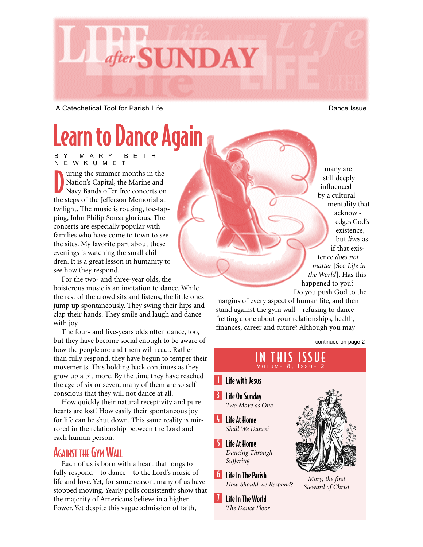

A Catechetical Tool for Parish Life **Dance Issue** Dance Issue

# Learn to Dance Again

BY MARY BETH NEWKUMET

D uring the summer months in the Nation's Capital, the Marine and Navy Bands offer free concerts on the steps of the Jefferson Memorial at twilight. The music is rousing, toe-tapping, John Philip Sousa glorious. The concerts are especially popular with families who have come to town to see the sites. My favorite part about these evenings is watching the small children. It is a great lesson in humanity to see how they respond.

For the two- and three-year olds, the boisterous music is an invitation to dance. While the rest of the crowd sits and listens, the little ones jump up spontaneously. They swing their hips and clap their hands. They smile and laugh and dance with joy.

The four- and five-years olds often dance, too, but they have become social enough to be aware of how the people around them will react. Rather than fully respond, they have begun to temper their movements. This holding back continues as they grow up a bit more. By the time they have reached the age of six or seven, many of them are so selfconscious that they will not dance at all.

How quickly their natural receptivity and pure hearts are lost! How easily their spontaneous joy for life can be shut down. This same reality is mirrored in the relationship between the Lord and each human person.

## AGAINST THE GYM WALL

Each of us is born with a heart that longs to fully respond—to dance—to the Lord's music of life and love. Yet, for some reason, many of us have stopped moving. Yearly polls consistently show that the majority of Americans believe in a higher Power. Yet despite this vague admission of faith,

many are still deeply influenced by a cultural mentality that acknowledges God's existence, but *lives* as if that existence *does not matter* [See *Life in the World*]. Has this happened to you? Do you push God to the

margins of every aspect of human life, and then stand against the gym wall—refusing to dance fretting alone about your relationships, health, finances, career and future? Although you may

continued on page 2

### IN THIS ISSUE VOLUME 8, ISSUE 2

### **I** Life with Jesus

- **B** Life On Sunday *Two Move as One*
- $|I_{+}|$ Life At Home *Shall We Dance?*
- 5 Life At Home *Dancing Through Suffering*
- **6** Life In The Parish *How Should we Respond?*
- *I* Life In The World *The Dance Floor*



*Mary, the first Steward of Christ*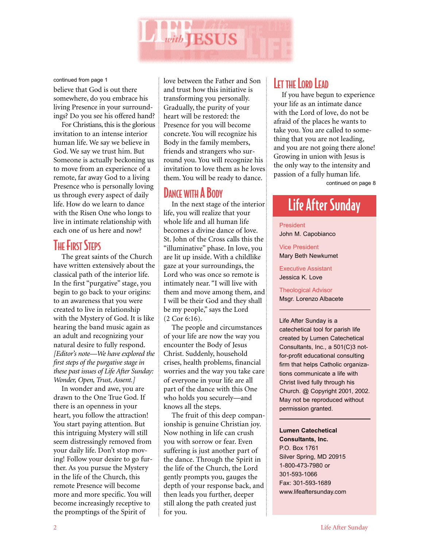

continued from page 1

believe that God is out there somewhere, do you embrace his living Presence in your surroundings? Do you see his offered hand?

For Christians, this is the glorious invitation to an intense interior human life. We say we believe in God. We say we trust him. But Someone is actually beckoning us to move from an experience of a remote, far away God to a living Presence who is personally loving us through every aspect of daily life. How do we learn to dance with the Risen One who longs to live in intimate relationship with each one of us here and now?

## **THE FIRST STEPS**

The great saints of the Church have written extensively about the classical path of the interior life. In the first "purgative" stage, you begin to go back to your origins: to an awareness that you were created to live in relationship with the Mystery of God. It is like hearing the band music again as an adult and recognizing your natural desire to fully respond. *[Editor's note—We have explored the first steps of the purgative stage in these past issues of Life After Sunday: Wonder, Open, Trust, Assent.]*

In wonder and awe, you are drawn to the One True God. If there is an openness in your heart, you follow the attraction! You start paying attention. But this intriguing Mystery will still seem distressingly removed from your daily life. Don't stop moving! Follow your desire to go further. As you pursue the Mystery in the life of the Church, this remote Presence will become more and more specific. You will become increasingly receptive to the promptings of the Spirit of

love between the Father and Son and trust how this initiative is transforming you personally. Gradually, the purity of your heart will be restored: the Presence for you will become concrete. You will recognize his Body in the family members, friends and strangers who surround you. You will recognize his invitation to love them as he loves them. You will be ready to dance.

# DANCE WITH A BODY

In the next stage of the interior life, you will realize that your whole life and all human life becomes a divine dance of love. St. John of the Cross calls this the "illuminative" phase. In love, you are lit up inside. With a childlike gaze at your surroundings, the Lord who was once so remote is intimately near. "I will live with them and move among them, and I will be their God and they shall be my people," says the Lord (2 Cor 6:16).

The people and circumstances of your life are now the way you encounter the Body of Jesus Christ. Suddenly, household crises, health problems, financial worries and the way you take care of everyone in your life are all part of the dance with this One who holds you securely—and knows all the steps.

The fruit of this deep companionship is genuine Christian joy. Now nothing in life can crush you with sorrow or fear. Even suffering is just another part of the dance. Through the Spirit in the life of the Church, the Lord gently prompts you, gauges the depth of your response back, and then leads you further, deeper still along the path created just for you.

## LET THE LORD LEAD

If you have begun to experience your life as an intimate dance with the Lord of love, do not be afraid of the places he wants to take you. You are called to something that you are not leading, and you are not going there alone! Growing in union with Jesus is the only way to the intensity and passion of a fully human life. continued on page 8

# Life After Sunday

President John M. Capobianco

Vice President Mary Beth Newkumet

Executive Assistant Jessica K. Love

Theological Advisor Msgr. Lorenzo Albacete

Life After Sunday is a catechetical tool for parish life created by Lumen Catechetical Consultants, Inc., a 501(C)3 notfor-profit educational consulting firm that helps Catholic organizations communicate a life with Christ lived fully through his Church. @ Copyright 2001, 2002. May not be reproduced without permission granted.

#### **Lumen Catechetical Consultants, Inc.**

P.O. Box 1761 Silver Spring, MD 20915 1-800-473-7980 or 301-593-1066 Fax: 301-593-1689 www.lifeaftersunday.com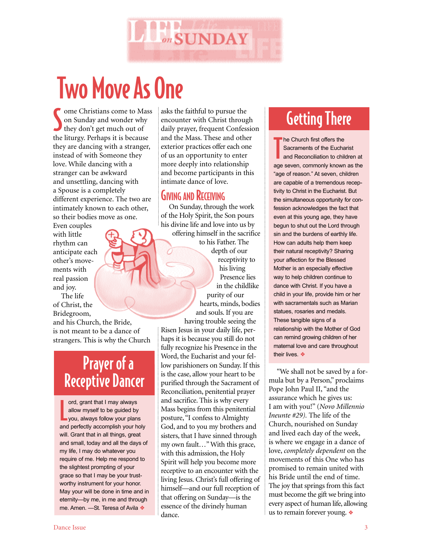

# Two Move As One

Some Christians come to M<br>
on Sunday and wonder wh<br>
they don't get much out of ome Christians come to Mass on Sunday and wonder why the liturgy. Perhaps it is because they are dancing with a stranger, instead of with Someone they love. While dancing with a stranger can be awkward and unsettling, dancing with a Spouse is a completely different experience. The two are intimately known to each other, so their bodies move as one.

Even couples with little rhythm can anticipate each other's movements with real passion and joy.

The life of Christ, the Bridegroom,

and his Church, the Bride, is not meant to be a dance of strangers. This is why the Church

# Prayer of a Receptive Dancer

L ord, grant that I may always allow myself to be guided by you, always follow your plans and perfectly accomplish your holy will. Grant that in all things, great and small, today and all the days of my life, I may do whatever you require of me. Help me respond to the slightest prompting of your grace so that I may be your trustworthy instrument for your honor. May your will be done in time and in eternity—by me, in me and through me. Amen. —St. Teresa of Avila ❖

asks the faithful to pursue the encounter with Christ through daily prayer, frequent Confession and the Mass. These and other exterior practices offer each one of us an opportunity to enter more deeply into relationship and become participants in this intimate dance of love.

### **GIVING AND RECEIVING**

On Sunday, through the work of the Holy Spirit, the Son pours his divine life and love into us by offering himself in the sacrifice

to his Father. The depth of our receptivity to his living Presence lies in the childlike purity of our hearts, minds, bodies and souls. If you are

having trouble seeing the Risen Jesus in your daily life, perhaps it is because you still do not fully recognize his Presence in the Word, the Eucharist and your fellow parishioners on Sunday. If this is the case, allow your heart to be purified through the Sacrament of Reconciliation, penitential prayer and sacrifice. This is why every Mass begins from this penitential posture, "I confess to Almighty God, and to you my brothers and sisters, that I have sinned through my own fault…" With this grace, with this admission, the Holy Spirit will help you become more receptive to an encounter with the living Jesus. Christ's full offering of himself—and our full reception of that offering on Sunday—is the essence of the divinely human dance.

# Getting There

T he Church first offers the Sacraments of the Eucharist and Reconciliation to children at age seven, commonly known as the "age of reason." At seven, children are capable of a tremendous receptivity to Christ in the Eucharist. But the simultaneous opportunity for confession acknowledges the fact that even at this young age, they have begun to shut out the Lord through sin and the burdens of earthly life. How can adults help them keep their natural receptivity? Sharing your affection for the Blessed Mother is an especially effective way to help children continue to dance with Christ. If you have a child in your life, provide him or her with sacramentals such as Marian statues, rosaries and medals. These tangible signs of a relationship with the Mother of God can remind growing children of her maternal love and care throughout their lives. ❖

"We shall not be saved by a formula but by a Person," proclaims Pope John Paul II, "and the assurance which he gives us: I am with you!" (*Novo Millennio Ineunte #29).* The life of the Church, nourished on Sunday and lived each day of the week, is where we engage in a dance of love, *completely dependent* on the movements of this One who has promised to remain united with his Bride until the end of time. The joy that springs from this fact must become the gift we bring into every aspect of human life, allowing us to remain forever young. ❖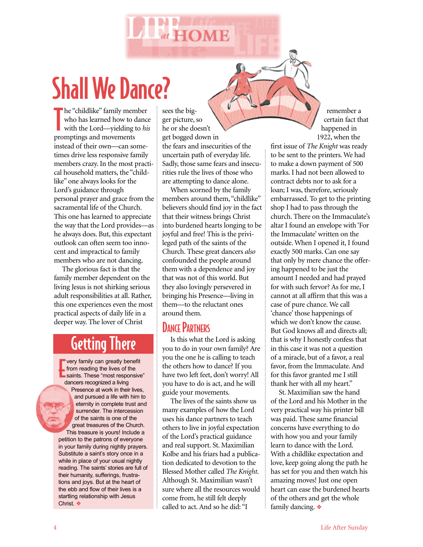

The "childlike" family men<br>
who has learned how to<br>
with the Lord—yielding<br>
promptings and movements he "childlike" family member who has learned how to dance with the Lord—yielding to *his* instead of their own—can sometimes drive less responsive family members crazy. In the most practical household matters, the "childlike" one always looks for the Lord's guidance through personal prayer and grace from the sacramental life of the Church. This one has learned to appreciate the way that the Lord provides—as he always does. But, this expectant outlook can often seem too innocent and impractical to family members who are not dancing.

The glorious fact is that the family member dependent on the living Jesus is not shirking serious adult responsibilities at all. Rather, this one experiences even the most practical aspects of daily life in a deeper way. The lover of Christ

# Getting There

From reading the lives of the<br>from reading the lives of the<br>saints. These "most responsive" very family can greatly benefit from reading the lives of the dancers recognized a living Presence at work in their lives, and pursued a life with him to eternity in complete trust and surrender. The intercession of the saints is one of the great treasures of the Church. This treasure is yours! Include a petition to the patrons of everyone in your family during nightly prayers. Substitute a saint's story once in a while in place of your usual nightly reading. The saints' stories are full of their humanity, sufferings, frustrations and joys. But at the heart of the ebb and flow of their lives is a startling relationship with Jesus Christ. ❖

sees the bigger picture, so he or she doesn't get bogged down in the fears and insecurities of the uncertain path of everyday life. Sadly, those same fears and insecurities rule the lives of those who are attempting to dance alone.

 $at$  HOME

When scorned by the family members around them, "childlike" believers should find joy in the fact that their witness brings Christ into burdened hearts longing to be joyful and free! This is the privileged path of the saints of the Church. These great dancers *also* confounded the people around them with a dependence and joy that was not of this world. But they also lovingly persevered in bringing his Presence—living in them—to the reluctant ones around them.

### DANCE PARTNERS

Is this what the Lord is asking you to do in your own family? Are you the one he is calling to teach the others how to dance? If you have two left feet, don't worry! All you have to do is act, and he will guide your movements.

The lives of the saints show us many examples of how the Lord uses his dance partners to teach others to live in joyful expectation of the Lord's practical guidance and real support. St. Maximilian Kolbe and his friars had a publication dedicated to devotion to the Blessed Mother called *The Knight*. Although St. Maximilian wasn't sure where all the resources would come from, he still felt deeply called to act. And so he did: "I

remember a certain fact that happened in 1922, when the

first issue of *The Knight* was ready to be sent to the printers. We had to make a down payment of 500 marks. I had not been allowed to contract debts nor to ask for a loan; I was, therefore, seriously embarrassed. To get to the printing shop I had to pass through the church. There on the Immaculate's altar I found an envelope with 'For the Immaculate' written on the outside. When I opened it, I found exactly 500 marks. Can one say that only by mere chance the offering happened to be just the amount I needed and had prayed for with such fervor? As for me, I cannot at all affirm that this was a case of pure chance. We call 'chance' those happenings of which we don't know the cause. But God knows all and directs all; that is why I honestly confess that in this case it was not a question of a miracle, but of a favor, a real favor, from the Immaculate. And for this favor granted me I still thank her with all my heart."

St. Maximilian saw the hand of the Lord and his Mother in the very practical way his printer bill was paid. These same financial concerns have everything to do with how you and your family learn to dance with the Lord. With a childlike expectation and love, keep going along the path he has set for you and then watch his amazing moves! Just one open heart can ease the burdened hearts of the others and get the whole family dancing. ❖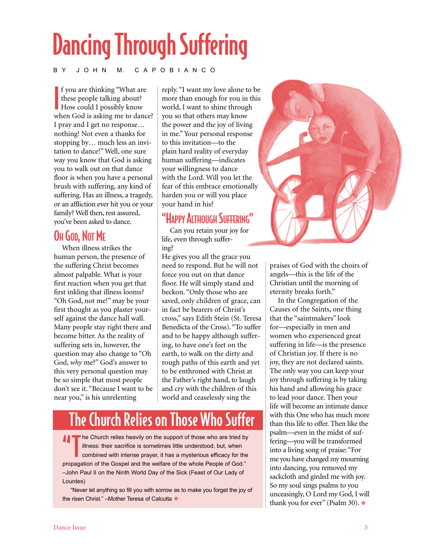# Dancing Through Suffering

#### B Y J O H N M. C A P O B I A N C O

I f you are thinking "What are these people talking about? **How could I possibly know** when God is asking me to dance? I pray and I get no response… nothing! Not even a thanks for stopping by… much less an invitation to dance!" Well, one sure way you know that God is asking you to walk out on that dance floor is when you have a personal brush with suffering, any kind of suffering. Has an illness, a tragedy, or an affliction ever hit you or your family? Well then, rest assured, you've been asked to dance.

### OH GOD, NOT ME

When illness strikes the human person, the presence of the suffering Christ becomes almost palpable. What is your first reaction when you get that first inkling that illness looms? "Oh God, not me!" may be your first thought as you plaster yourself against the dance hall wall. Many people stay right there and become bitter. As the reality of suffering sets in, however, the question may also change to "Oh God, *why* me?" God's answer to this very personal question may be so simple that most people don't see it. "Because I want to be near you," is his unrelenting

reply. "I want my love alone to be more than enough for you in this world, I want to shine through you so that others may know the power and the joy of living in me." Your personal response to this invitation—to the plain hard reality of everyday human suffering—indicates your willingness to dance with the Lord. Will you let the fear of this embrace emotionally harden you or will you place your hand in his?

# "HAPPY ALTHOUGH SUFFERING"

Can you retain your joy for life, even through suffering?

He gives you all the grace you need to respond. But he will not force you out on that dance floor. He will simply stand and beckon. "Only those who are saved, only children of grace, can in fact be bearers of Christ's cross," says Edith Stein (St. Teresa Benedicta of the Cross). "To suffer and to be happy although suffering, to have one's feet on the earth, to walk on the dirty and rough paths of this earth and yet to be enthroned with Christ at the Father's right hand, to laugh and cry with the children of this world and ceaselessly sing the

# The Church Relies on Those Who

The Church relies heavily on the support of those who are tried by<br>illness: their sacrifice is sometimes little understood, but, when<br>combined with intense prayer, it has a mysterious efficacy for the<br>intense of the combin illness: their sacrifice is sometimes little understood, but, when propagation of the Gospel and the welfare of the whole People of God." –John Paul II on the Ninth World Day of the Sick (Feast of Our Lady of Lourdes)

"Never let anything so fill you with sorrow as to make you forget the joy of the risen Christ." –Mother Teresa of Calcutta ❖



praises of God with the choirs of angels—this is the life of the Christian until the morning of eternity breaks forth."

In the Congregation of the Causes of the Saints, one thing that the "saintmakers" look for—especially in men and women who experienced great suffering in life—is the presence of Christian joy. If there is no joy, they are not declared saints. The only way you can keep your joy through suffering is by taking his hand and allowing his grace to lead your dance. Then your life will become an intimate dance with this One who has much more than this life to offer. Then like the psalm—even in the midst of suffering—you will be transformed into a living song of praise: "For me you have changed my mourning into dancing, you removed my sackcloth and girded me with joy. So my soul sings psalms to you unceasingly, O Lord my God, I will thank you for ever" (Psalm 30). ❖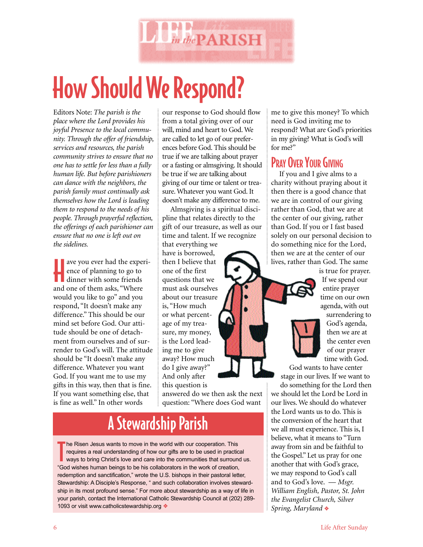

# How Should We Respond?

Editors Note: *The parish is the place where the Lord provides his joyful Presence to the local community. Through the offer of friendship, services and resources, the parish community strives to ensure that no one has to settle for less than a fully human life. But before parishioners can dance with the neighbors, the parish family must continually ask themselves how the Lord is leading them to respond to the needs of his people. Through prayerful reflection, the offerings of each parishioner can ensure that no one is left out on the sidelines.*

ave you ever had the experience of planning to go to dinner with some friends ave you ever had the experience of planning to go to and one of them asks, "Where would you like to go" and you respond, "It doesn't make any difference." This should be our mind set before God. Our attitude should be one of detachment from ourselves and of surrender to God's will. The attitude should be "It doesn't make any difference. Whatever you want God. If you want me to use my gifts in this way, then that is fine. If you want something else, that is fine as well." In other words

our response to God should flow from a total giving over of our will, mind and heart to God. We are called to let go of our preferences before God. This should be true if we are talking about prayer or a fasting or almsgiving. It should be true if we are talking about giving of our time or talent or treasure. Whatever you want God. It doesn't make any difference to me.

Almsgiving is a spiritual discipline that relates directly to the gift of our treasure, as well as our time and talent. If we recognize

that everything we have is borrowed, then I believe that one of the first questions that we must ask ourselves about our treasure is, "How much or what percentage of my treasure, my money, is the Lord leading me to give away? How much do I give away?" And only after this question is

answered do we then ask the next question: "Where does God want

# A Stewardship Parish

The Risen Jesus wants to move in the world with our cooperation. This requires a real understanding of how our gifts are to be used in practic ways to bring Christ's love and care into the communities that surroune "God wi he Risen Jesus wants to move in the world with our cooperation. This requires a real understanding of how our gifts are to be used in practical ways to bring Christ's love and care into the communities that surround us. redemption and sanctification," wrote the U.S. bishops in their pastoral letter, Stewardship: A Disciple's Response, " and such collaboration involves stewardship in its most profound sense." For more about stewardship as a way of life in your parish, contact the International Catholic Stewardship Council at (202) 289- 1093 or visit www.catholicstewardship.org ❖

me to give this money? To which need is God inviting me to respond? What are God's priorities in my giving? What is God's will for me?"

## PRAY OVER YOUR GIVING

If you and I give alms to a charity without praying about it then there is a good chance that we are in control of our giving rather than God, that we are at the center of our giving, rather than God. If you or I fast based solely on our personal decision to do something nice for the Lord, then we are at the center of our lives, rather than God. The same



is true for prayer. If we spend our entire prayer time on our own agenda, with out surrendering to God's agenda,

then we are at the center even of our prayer time with God.

God wants to have center stage in our lives. If we want to do something for the Lord then we should let the Lord be Lord in

our lives. We should do whatever the Lord wants us to do. This is the conversion of the heart that we all must experience. This is, I believe, what it means to "Turn away from sin and be faithful to the Gospel." Let us pray for one another that with God's grace, we may respond to God's call and to God's love. — *Msgr. William English, Pastor, St. John the Evangelist Church, Silver Spring, Maryland* ❖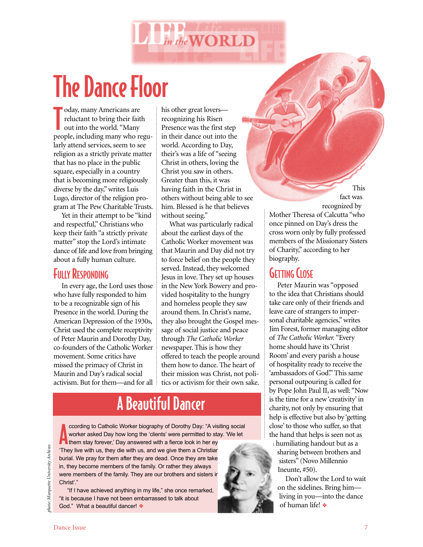

# The Dance Floor

T oday, many Americans are reluctant to bring their faith out into the world. "Many people, including many who regularly attend services, seem to see religion as a strictly private matter that has no place in the public square, especially in a country that is becoming more religiously diverse by the day," writes Luis Lugo, director of the religion program at The Pew Charitable Trusts.

Yet in their attempt to be "kind and respectful," Christians who keep their faith "a strictly private matter" stop the Lord's intimate dance of life and love from bringing about a fully human culture.

### **FULLY RESPONDING**

In every age, the Lord uses those who have fully responded to him to be a recognizable sign of his Presence in the world. During the American Depression of the 1930s, Christ used the complete receptivity of Peter Maurin and Dorothy Day, co-founders of the Catholic Worker movement. Some critics have missed the primacy of Christ in Maurin and Day's radical social activism. But for them—and for all his other great lovers recognizing his Risen Presence was the first step in their dance out into the world. According to Day, their's was a life of "seeing Christ in others, loving the Christ you saw in others. Greater than this, it was having faith in the Christ in others without being able to see him. Blessed is he that believes without seeing."

What was particularly radical about the earliest days of the Catholic Worker movement was that Maurin and Day did not try to force belief on the people they served. Instead, they welcomed Jesus in love. They set up houses in the New York Bowery and provided hospitality to the hungry and homeless people they saw around them. In Christ's name, they also brought the Gospel message of social justice and peace through *The Catholic Worker* newspaper. This is how they offered to teach the people around them how to dance. The heart of their mission was Christ, not politics or activism for their own sake.

# A Beautiful Dancer

coording to Catholic Worker biography of Dorothy Day: "A visitive worker asked Day how long the 'clients' were permitted to stay them stay forever,' Day answered with a fierce look in her ey ccording to Catholic Worker biography of Dorothy Day: "A visiting social worker asked Day how long the 'clients' were permitted to stay. 'We let 'They live with us, they die with us, and we give them a Christian burial. We pray for them after they are dead. Once they are take in, they become members of the family. Or rather they always were members of the family. They are our brothers and sisters ir Christ'."

"If I have achieved anything in my life," she once remarked, "it is because I have not been embarrassed to talk about God." What a beautiful dancer! ❖

fact was recognized by Mother Theresa of Calcutta "who once pinned on Day's dress the cross worn only by fully professed members of the Missionary Sisters of Charity," according to her biography.

This

### **GETTING CLOSE**

Peter Maurin was "opposed to the idea that Christians should take care only of their friends and leave care of strangers to impersonal charitable agencies," writes Jim Forest, former managing editor of *The Catholic Worker.* "Every home should have its 'Christ Room' and every parish a house of hospitality ready to receive the 'ambassadors of God'." This same personal outpouring is called for by Pope John Paul II, as well: "Now is the time for a new 'creativity' in charity, not only by ensuring that help is effective but also by 'getting close' to those who suffer, so that the hand that helps is seen not as

a humiliating handout but as a sharing between brothers and sisters" (Novo Millennio Ineunte, #50).

Don't allow the Lord to wait on the sidelines. Bring him living in you—into the dance of human life! ❖